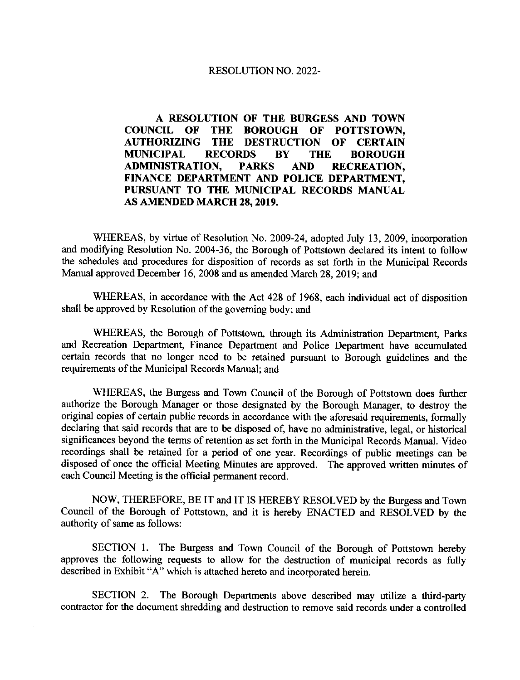# RESOLUTION NO.2022-

A RESOLUTION OF THE BURGESS AND TOWN<br>COUNCIL OF THE BOROUGH OF POTTSTOWN. COUNCIL OF THE BOROUGH OF POTTSTOWN, THE DESTRUCTION OF CERTAIN<br>RECORDS BY THE BOROUGH MUNICIPAL RECORDS BY T<br>ADMINISTRATION, PARKS AND ADMINISTRATION, PARKS AND RECREATION, FINANCE DEPARTMENT AND POLICE DEPARTMENT, PURSUANT TO THE MUNICIPAL RECORDS MANUAL AS AMENDED MARCH 28.2019.

WHEREAS, by virtue of Resolution No. 2009-24, adopted July 13,2009, incorporation and modifying Resolution No. 2004-36, the Borough of Pottstown declared its intent to follow the schedules and procedures for disposition of records as set forth in the Municipal Records Manual approved December 16, 2008 and as amended March 28,2019; and

WHEREAS, in accordance with the Act 428 of 1968. each individual act of disposition shall be approved by Resolution of the governing body; and

WHEREAS, the Borough of Pottstown, through its Administration Department, Parks and Recreation Department, Finance Department and Police Department have accumulated certain records that no longer need to be retained pursuant to Borough guidelines and the requirements of the Municipal Records Manual; and

WHEREAS, the Burgess and Town Council of the Borough of Pottstown does further authorize the Borough Manager or those designated by the Borough Manager, to destroy the original copies of certain public records in accordance with the aforesaid requirements, formally declaring that said records that are to be disposed of, have no administrative, legal, or historical significances beyond the terms of retention as set forth in the Municipal Records Manual. Video recordings shall be retained for a period of one year. Recordings of public meetings can be disposed of once the official Meeting Minutes are approved. The approved written minutes of each Council Meeting is the official permanent record.

NOW, THEREFORE, BE IT and IT IS HEREBY RESOLVED by the Burgess and Town Council of the Borough of Pottstown, and it is hereby ENACTED and RESOLVED by the authority of same as follows:

SECTION l. The Burgess and Town Council of the Borough of Pottstown hereby approves the following requests to allow for the destruction of municipal records as fully described in Exhibit "A" which is attached hereto and incorporated herein.

SECTION 2. The Borough Departments above described may utilize a third-party contractor for the document shredding and destruction to remove said records under a controlled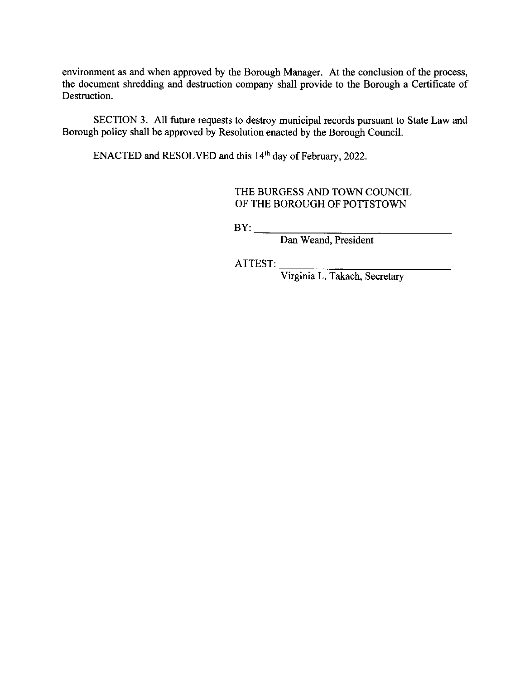environment as and when approved by the Borough Manager. At the conclusion of the process, the document shredding and destruction company shall provide to the Borough a Certificate of Destruction.

SECTION 3. All future requests to destroy municipal records pursuant to State Law and Borough policy shall be approved by Resolution enacted by the Borough Courcil.

ENACTED and RESOLVED and this 14<sup>th</sup> day of February, 2022.

THE BURGESS AND TOWN COUNCIL OF THE BOROUGH OF POTTSTOWN

 $BY:$ 

Dan Weand, President

ATTEST:

Virginia L. Takach, Secretary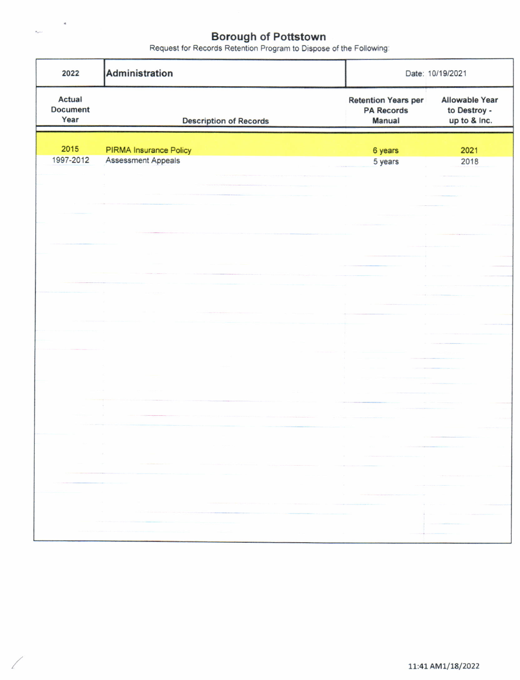$\sim$ 

| 2022                                                                                                                                                                                                                                                                                                                                                                                                      | Administration                                                                                                                                                                                                                                                                                                                                                                                                                                                                                                                                                   | Date: 10/19/2021                                                                                                                                                                                                                                                                                                                                                                                                                                                                |                                                                                                                                                                                                                                                                                                                                                                                                                                                                                                                                                                                                                                                                                                                                                                                                                                                                                                          |
|-----------------------------------------------------------------------------------------------------------------------------------------------------------------------------------------------------------------------------------------------------------------------------------------------------------------------------------------------------------------------------------------------------------|------------------------------------------------------------------------------------------------------------------------------------------------------------------------------------------------------------------------------------------------------------------------------------------------------------------------------------------------------------------------------------------------------------------------------------------------------------------------------------------------------------------------------------------------------------------|---------------------------------------------------------------------------------------------------------------------------------------------------------------------------------------------------------------------------------------------------------------------------------------------------------------------------------------------------------------------------------------------------------------------------------------------------------------------------------|----------------------------------------------------------------------------------------------------------------------------------------------------------------------------------------------------------------------------------------------------------------------------------------------------------------------------------------------------------------------------------------------------------------------------------------------------------------------------------------------------------------------------------------------------------------------------------------------------------------------------------------------------------------------------------------------------------------------------------------------------------------------------------------------------------------------------------------------------------------------------------------------------------|
| Actual<br><b>Document</b><br>Year                                                                                                                                                                                                                                                                                                                                                                         | <b>Description of Records</b>                                                                                                                                                                                                                                                                                                                                                                                                                                                                                                                                    | <b>Retention Years per</b><br><b>PA Records</b><br><b>Manual</b>                                                                                                                                                                                                                                                                                                                                                                                                                | <b>Allowable Year</b><br>to Destroy -<br>up to & Inc.                                                                                                                                                                                                                                                                                                                                                                                                                                                                                                                                                                                                                                                                                                                                                                                                                                                    |
| 2015                                                                                                                                                                                                                                                                                                                                                                                                      | <b>PIRMA Insurance Policy</b>                                                                                                                                                                                                                                                                                                                                                                                                                                                                                                                                    | 6 years                                                                                                                                                                                                                                                                                                                                                                                                                                                                         | 2021                                                                                                                                                                                                                                                                                                                                                                                                                                                                                                                                                                                                                                                                                                                                                                                                                                                                                                     |
| 1997-2012                                                                                                                                                                                                                                                                                                                                                                                                 | <b>Assessment Appeals</b>                                                                                                                                                                                                                                                                                                                                                                                                                                                                                                                                        | 5 years                                                                                                                                                                                                                                                                                                                                                                                                                                                                         | 2018                                                                                                                                                                                                                                                                                                                                                                                                                                                                                                                                                                                                                                                                                                                                                                                                                                                                                                     |
|                                                                                                                                                                                                                                                                                                                                                                                                           |                                                                                                                                                                                                                                                                                                                                                                                                                                                                                                                                                                  |                                                                                                                                                                                                                                                                                                                                                                                                                                                                                 |                                                                                                                                                                                                                                                                                                                                                                                                                                                                                                                                                                                                                                                                                                                                                                                                                                                                                                          |
|                                                                                                                                                                                                                                                                                                                                                                                                           |                                                                                                                                                                                                                                                                                                                                                                                                                                                                                                                                                                  |                                                                                                                                                                                                                                                                                                                                                                                                                                                                                 |                                                                                                                                                                                                                                                                                                                                                                                                                                                                                                                                                                                                                                                                                                                                                                                                                                                                                                          |
|                                                                                                                                                                                                                                                                                                                                                                                                           |                                                                                                                                                                                                                                                                                                                                                                                                                                                                                                                                                                  |                                                                                                                                                                                                                                                                                                                                                                                                                                                                                 |                                                                                                                                                                                                                                                                                                                                                                                                                                                                                                                                                                                                                                                                                                                                                                                                                                                                                                          |
|                                                                                                                                                                                                                                                                                                                                                                                                           |                                                                                                                                                                                                                                                                                                                                                                                                                                                                                                                                                                  |                                                                                                                                                                                                                                                                                                                                                                                                                                                                                 |                                                                                                                                                                                                                                                                                                                                                                                                                                                                                                                                                                                                                                                                                                                                                                                                                                                                                                          |
|                                                                                                                                                                                                                                                                                                                                                                                                           |                                                                                                                                                                                                                                                                                                                                                                                                                                                                                                                                                                  |                                                                                                                                                                                                                                                                                                                                                                                                                                                                                 |                                                                                                                                                                                                                                                                                                                                                                                                                                                                                                                                                                                                                                                                                                                                                                                                                                                                                                          |
|                                                                                                                                                                                                                                                                                                                                                                                                           |                                                                                                                                                                                                                                                                                                                                                                                                                                                                                                                                                                  |                                                                                                                                                                                                                                                                                                                                                                                                                                                                                 |                                                                                                                                                                                                                                                                                                                                                                                                                                                                                                                                                                                                                                                                                                                                                                                                                                                                                                          |
|                                                                                                                                                                                                                                                                                                                                                                                                           |                                                                                                                                                                                                                                                                                                                                                                                                                                                                                                                                                                  |                                                                                                                                                                                                                                                                                                                                                                                                                                                                                 |                                                                                                                                                                                                                                                                                                                                                                                                                                                                                                                                                                                                                                                                                                                                                                                                                                                                                                          |
|                                                                                                                                                                                                                                                                                                                                                                                                           |                                                                                                                                                                                                                                                                                                                                                                                                                                                                                                                                                                  |                                                                                                                                                                                                                                                                                                                                                                                                                                                                                 |                                                                                                                                                                                                                                                                                                                                                                                                                                                                                                                                                                                                                                                                                                                                                                                                                                                                                                          |
|                                                                                                                                                                                                                                                                                                                                                                                                           |                                                                                                                                                                                                                                                                                                                                                                                                                                                                                                                                                                  |                                                                                                                                                                                                                                                                                                                                                                                                                                                                                 |                                                                                                                                                                                                                                                                                                                                                                                                                                                                                                                                                                                                                                                                                                                                                                                                                                                                                                          |
|                                                                                                                                                                                                                                                                                                                                                                                                           |                                                                                                                                                                                                                                                                                                                                                                                                                                                                                                                                                                  |                                                                                                                                                                                                                                                                                                                                                                                                                                                                                 |                                                                                                                                                                                                                                                                                                                                                                                                                                                                                                                                                                                                                                                                                                                                                                                                                                                                                                          |
|                                                                                                                                                                                                                                                                                                                                                                                                           |                                                                                                                                                                                                                                                                                                                                                                                                                                                                                                                                                                  |                                                                                                                                                                                                                                                                                                                                                                                                                                                                                 |                                                                                                                                                                                                                                                                                                                                                                                                                                                                                                                                                                                                                                                                                                                                                                                                                                                                                                          |
|                                                                                                                                                                                                                                                                                                                                                                                                           |                                                                                                                                                                                                                                                                                                                                                                                                                                                                                                                                                                  |                                                                                                                                                                                                                                                                                                                                                                                                                                                                                 |                                                                                                                                                                                                                                                                                                                                                                                                                                                                                                                                                                                                                                                                                                                                                                                                                                                                                                          |
|                                                                                                                                                                                                                                                                                                                                                                                                           |                                                                                                                                                                                                                                                                                                                                                                                                                                                                                                                                                                  |                                                                                                                                                                                                                                                                                                                                                                                                                                                                                 |                                                                                                                                                                                                                                                                                                                                                                                                                                                                                                                                                                                                                                                                                                                                                                                                                                                                                                          |
|                                                                                                                                                                                                                                                                                                                                                                                                           |                                                                                                                                                                                                                                                                                                                                                                                                                                                                                                                                                                  |                                                                                                                                                                                                                                                                                                                                                                                                                                                                                 |                                                                                                                                                                                                                                                                                                                                                                                                                                                                                                                                                                                                                                                                                                                                                                                                                                                                                                          |
|                                                                                                                                                                                                                                                                                                                                                                                                           |                                                                                                                                                                                                                                                                                                                                                                                                                                                                                                                                                                  |                                                                                                                                                                                                                                                                                                                                                                                                                                                                                 |                                                                                                                                                                                                                                                                                                                                                                                                                                                                                                                                                                                                                                                                                                                                                                                                                                                                                                          |
|                                                                                                                                                                                                                                                                                                                                                                                                           | $\langle\,\rangle\in\mathbb{R}^n$ .                                                                                                                                                                                                                                                                                                                                                                                                                                                                                                                              | $\geq 0$<br>$\mathcal{L}$ is a set of the set of $\mathcal{L}$ is a set of $\mathcal{L}$ , and $\mathcal{L}$ is a set of $\mathcal{L}$ , and $\mathcal{L}$                                                                                                                                                                                                                                                                                                                      |                                                                                                                                                                                                                                                                                                                                                                                                                                                                                                                                                                                                                                                                                                                                                                                                                                                                                                          |
| $\label{eq:1.1} \frac{1}{\sqrt{2\pi}}\frac{1}{\sqrt{2\pi}}\left(\frac{1}{\sqrt{2\pi}}\right)^{1/2} \frac{1}{\sqrt{2\pi}}\left(\frac{1}{\sqrt{2\pi}}\right)^{1/2} \frac{1}{\sqrt{2\pi}}\frac{1}{\sqrt{2\pi}}\left(\frac{1}{\sqrt{2\pi}}\right)^{1/2} \frac{1}{\sqrt{2\pi}}\frac{1}{\sqrt{2\pi}}\frac{1}{\sqrt{2\pi}}\frac{1}{\sqrt{2\pi}}\frac{1}{\sqrt{2\pi}}\frac{1}{\sqrt{2\pi}}\frac{1}{\sqrt{2\pi}}\$ | $\mu$ , and an expression of the minimum contribution of the contribution of the contribution of the contribution of the contribution of the contribution of the contribution of the contribution of the contribution of the c                                                                                                                                                                                                                                                                                                                                   | $\label{eq:3.1} \mathcal{L}(\mathcal{L}(\mathcal{L}(\mathcal{L}(\mathcal{L}(\mathcal{L}(\mathcal{L}(\mathcal{L}(\mathcal{L}(\mathcal{L}(\mathcal{L}(\mathcal{L}(\mathcal{L}(\mathcal{L}(\mathcal{L}(\mathcal{L}(\mathcal{L}(\mathcal{L}(\mathcal{L}(\mathcal{L}(\mathcal{L}(\mathcal{L}(\mathcal{L}(\mathcal{L}(\mathcal{L}(\mathcal{L}(\mathcal{L}(\mathcal{L}(\mathcal{L}(\mathcal{L}(\mathcal{L}(\mathcal{L}(\mathcal{L}(\mathcal{L}(\mathcal{L}(\$                          | $\label{eq:1.1} \begin{split} \mathcal{L}^{(1)}(x) &= \mathcal{L}^{(1)}(x) + \mathcal{L}^{(2)}(x) + \mathcal{L}^{(1)}(x) + \mathcal{L}^{(2)}(x) \end{split}$                                                                                                                                                                                                                                                                                                                                                                                                                                                                                                                                                                                                                                                                                                                                             |
|                                                                                                                                                                                                                                                                                                                                                                                                           |                                                                                                                                                                                                                                                                                                                                                                                                                                                                                                                                                                  | $\mathcal{R}$ .<br>-81                                                                                                                                                                                                                                                                                                                                                                                                                                                          | $\label{eq:1.1} \mathcal{F}(\mathcal{X}) = \mathcal{F}(\mathcal{X}) = \mathcal{F}(\mathcal{X}) = \mathcal{F}(\mathcal{X}) = \mathcal{F}(\mathcal{X}) = \mathcal{F}(\mathcal{X}) = \mathcal{F}(\mathcal{X}) = \mathcal{F}(\mathcal{X}) = \mathcal{F}(\mathcal{X}) = \mathcal{F}(\mathcal{X}) = \mathcal{F}(\mathcal{X}) = \mathcal{F}(\mathcal{X}) = \mathcal{F}(\mathcal{X}) = \mathcal{F}(\mathcal{X}) = \mathcal{F}(\mathcal{X}) = \mathcal{F}(\mathcal{X}) = \mathcal$<br>$\label{eq:2.1} \left\langle \left( \mathbf{1},\mathbf{1},\mathbf{1},\mathbf{1},\mathbf{2},\mathbf{3},\mathbf{4},\mathbf{5},\mathbf{1},\mathbf{1},\mathbf{1},\mathbf{1},\mathbf{1},\mathbf{1},\mathbf{1},\mathbf{1},\mathbf{1},\mathbf{1},\mathbf{1},\mathbf{1},\mathbf{1},\mathbf{1},\mathbf{1},\mathbf{1},\mathbf{1},\mathbf{1},\mathbf{1},\mathbf{1},\mathbf{1},\mathbf{1},\mathbf{1},\mathbf{1},\mathbf{1},\mathbf{1},$ |
|                                                                                                                                                                                                                                                                                                                                                                                                           |                                                                                                                                                                                                                                                                                                                                                                                                                                                                                                                                                                  | $\mathcal{U}$ .<br>$\label{eq:conformal} \mathcal{L}(\mathcal{L}(\mathcal{L}(\mathcal{L}(\mathcal{L}(\mathcal{L}(\mathcal{L}(\mathcal{L}(\mathcal{L}(\mathcal{L}(\mathcal{L}(\mathcal{L}(\mathcal{L}(\mathcal{L}(\mathcal{L}(\mathcal{L}(\mathcal{L}(\mathcal{L}(\mathcal{L}(\mathcal{L}(\mathcal{L}(\mathcal{L}(\mathcal{L}(\mathcal{L}(\mathcal{L}(\mathcal{L}(\mathcal{L}(\mathcal{L}(\mathcal{L}(\mathcal{L}(\mathcal{L}(\mathcal{L}(\mathcal{L}(\mathcal{L}(\mathcal{L}(\$ |                                                                                                                                                                                                                                                                                                                                                                                                                                                                                                                                                                                                                                                                                                                                                                                                                                                                                                          |
|                                                                                                                                                                                                                                                                                                                                                                                                           | <b>Similar</b><br>$\label{eq:1.1} \begin{split} \mathcal{L}_{\mathcal{M}}(\mathcal{M})=\mathcal{L}_{\mathcal{M}}(\mathcal{M})\otimes\mathcal{L}_{\mathcal{M}}(\mathcal{M})\otimes\mathcal{L}_{\mathcal{M}}(\mathcal{M})\otimes\mathcal{L}_{\mathcal{M}}(\mathcal{M})\otimes\mathcal{L}_{\mathcal{M}}(\mathcal{M})\otimes\mathcal{L}_{\mathcal{M}}(\mathcal{M})\otimes\mathcal{L}_{\mathcal{M}}(\mathcal{M})\otimes\mathcal{L}_{\mathcal{M}}(\mathcal{M})\otimes\mathcal{L}_{\mathcal{M}}(\mathcal{M})\ot$<br><b>Three researchers</b> (200)                      |                                                                                                                                                                                                                                                                                                                                                                                                                                                                                 | <b>CALL SEE LARGE COMPANY</b>                                                                                                                                                                                                                                                                                                                                                                                                                                                                                                                                                                                                                                                                                                                                                                                                                                                                            |
|                                                                                                                                                                                                                                                                                                                                                                                                           | The company of the company of the company of the company of the company of the company of the company of the company of the company of the company of the company of the company of the company of the company of the company<br>The balance of the state of the control of the control of the control of the control of<br><u>and the company of the company of the company of the company of the company of the company of the company of the company of the company of the company of the company of the company of the company of the company of the com</u> |                                                                                                                                                                                                                                                                                                                                                                                                                                                                                 |                                                                                                                                                                                                                                                                                                                                                                                                                                                                                                                                                                                                                                                                                                                                                                                                                                                                                                          |
|                                                                                                                                                                                                                                                                                                                                                                                                           | president and some in the although the service in                                                                                                                                                                                                                                                                                                                                                                                                                                                                                                                |                                                                                                                                                                                                                                                                                                                                                                                                                                                                                 |                                                                                                                                                                                                                                                                                                                                                                                                                                                                                                                                                                                                                                                                                                                                                                                                                                                                                                          |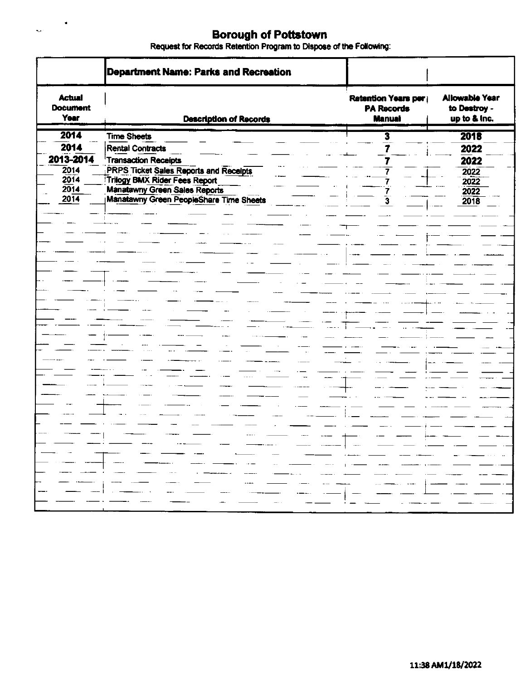$\frac{1}{\sqrt{2}}$ 

|                                                           | Department Name: Parks and Recreation                                                                                                                                                                                                                                                                                                                                                                                                                                                                             |                                                           |                                                       |
|-----------------------------------------------------------|-------------------------------------------------------------------------------------------------------------------------------------------------------------------------------------------------------------------------------------------------------------------------------------------------------------------------------------------------------------------------------------------------------------------------------------------------------------------------------------------------------------------|-----------------------------------------------------------|-------------------------------------------------------|
| <b>Actual</b><br><b>Document</b><br>Year                  | <b>Description of Records</b>                                                                                                                                                                                                                                                                                                                                                                                                                                                                                     | Retention Years per<br><b>PA Records</b><br><b>Manual</b> | <b>Allowable Year</b><br>to Destroy -<br>up to & Inc. |
| 2014<br>2014<br>2013-2014<br>2014<br>2014<br>2014<br>2014 | <b>Time Sheets</b><br><b>Rental Contracts</b><br>Transaction Receipts<br><b>PRPS Ticket Sales Reports and Receipts</b><br><b>Tritogy BMX Rider Fees Report</b><br><b>Manatawny Green Sales Reports</b><br>Manatawny Green PeopleShare Time Sheets                                                                                                                                                                                                                                                                 | 3                                                         | 2018<br>2022<br>2022<br>2022<br>2022<br>2022<br>2018  |
|                                                           |                                                                                                                                                                                                                                                                                                                                                                                                                                                                                                                   |                                                           |                                                       |
|                                                           |                                                                                                                                                                                                                                                                                                                                                                                                                                                                                                                   |                                                           |                                                       |
| $\frac{1}{2}$ and $\frac{1}{2}$ and $\frac{1}{2}$         | ∦ال در منصوب طور الرئيسي عليه الصحيح الطبيعية التي تعالى المناسبة التي تعدد ا <del>لمناسب</del> الس <del>م</del> ات المناسبة المناسبة<br>. 2004 - 2006 - 2007 - 2008 - 2008 - 2008 - 2009 - 2009 - 2009 - 2009 - 2009 - 2009 - 2009 - 2009 - 2009 - 200<br>∭المصدرين المصدر منذر المنتدريتين المنظر يصدر المتبعثين المصدر وتستجد والراءة المنتدر ومدار فالمعد مست<br>المتسر كتبار الشريعيات المتكادي المتحديث المتنا المتناطق المتراث المتنافي المتناد المتناطق المتناو التنفق التنا<br><del>o</del> and a series |                                                           | — —<br>— — — — — —<br>- - - 1                         |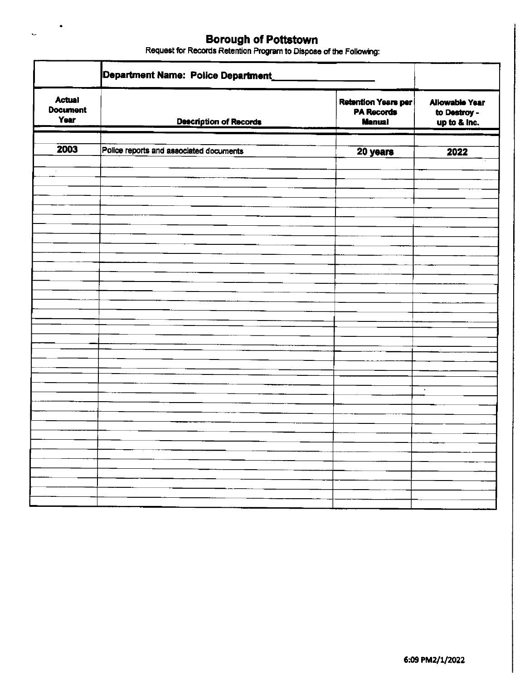$\mathcal{L}_{\mathcal{A}}$ 

 $\ddot{\phantom{0}}$ 

|                                          | Department Name: Police Department_     |                                                                  |                                                       |
|------------------------------------------|-----------------------------------------|------------------------------------------------------------------|-------------------------------------------------------|
| <b>Actual</b><br><b>Document</b><br>Year | <b>Description of Records</b>           | <b>Retention Years per</b><br><b>PA Records</b><br><b>Manual</b> | <b>Allowable Year</b><br>to Destroy -<br>up to & Inc. |
| 2003                                     | Police reports and associated documents | 20 years                                                         | 2022                                                  |
| $\sim$                                   |                                         |                                                                  |                                                       |
|                                          |                                         |                                                                  |                                                       |
|                                          |                                         |                                                                  |                                                       |
|                                          |                                         |                                                                  |                                                       |
|                                          |                                         |                                                                  |                                                       |
|                                          |                                         |                                                                  |                                                       |
|                                          |                                         |                                                                  |                                                       |
|                                          |                                         |                                                                  |                                                       |
|                                          |                                         |                                                                  |                                                       |
|                                          |                                         |                                                                  |                                                       |
|                                          |                                         |                                                                  |                                                       |
|                                          |                                         |                                                                  |                                                       |
|                                          |                                         |                                                                  |                                                       |
|                                          |                                         |                                                                  |                                                       |
|                                          |                                         |                                                                  | $\bar{\phantom{a}}$                                   |
|                                          |                                         |                                                                  |                                                       |
|                                          |                                         |                                                                  |                                                       |
|                                          |                                         |                                                                  |                                                       |
|                                          |                                         |                                                                  |                                                       |
|                                          |                                         |                                                                  |                                                       |
|                                          |                                         |                                                                  |                                                       |
|                                          |                                         |                                                                  |                                                       |